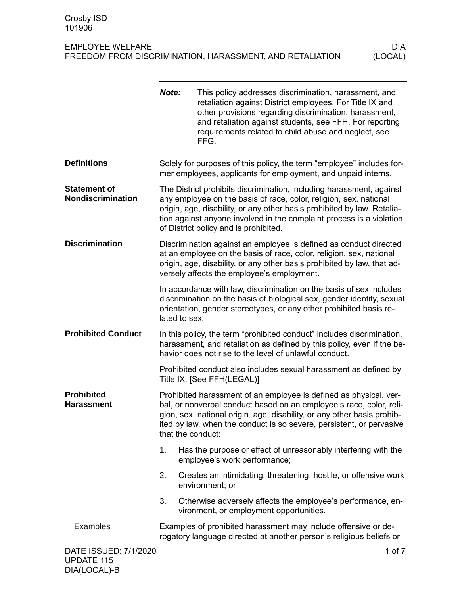DIA(LOCAL)-B

|                                            | Note:                                                                                                                                                                                                                                                             | This policy addresses discrimination, harassment, and<br>retaliation against District employees. For Title IX and<br>other provisions regarding discrimination, harassment,<br>and retaliation against students, see FFH. For reporting<br>requirements related to child abuse and neglect, see<br>FFG.                               |
|--------------------------------------------|-------------------------------------------------------------------------------------------------------------------------------------------------------------------------------------------------------------------------------------------------------------------|---------------------------------------------------------------------------------------------------------------------------------------------------------------------------------------------------------------------------------------------------------------------------------------------------------------------------------------|
| <b>Definitions</b>                         |                                                                                                                                                                                                                                                                   | Solely for purposes of this policy, the term "employee" includes for-<br>mer employees, applicants for employment, and unpaid interns.                                                                                                                                                                                                |
| <b>Statement of</b><br>Nondiscrimination   |                                                                                                                                                                                                                                                                   | The District prohibits discrimination, including harassment, against<br>any employee on the basis of race, color, religion, sex, national<br>origin, age, disability, or any other basis prohibited by law. Retalia-<br>tion against anyone involved in the complaint process is a violation<br>of District policy and is prohibited. |
| <b>Discrimination</b>                      | Discrimination against an employee is defined as conduct directed<br>at an employee on the basis of race, color, religion, sex, national<br>origin, age, disability, or any other basis prohibited by law, that ad-<br>versely affects the employee's employment. |                                                                                                                                                                                                                                                                                                                                       |
|                                            | lated to sex.                                                                                                                                                                                                                                                     | In accordance with law, discrimination on the basis of sex includes<br>discrimination on the basis of biological sex, gender identity, sexual<br>orientation, gender stereotypes, or any other prohibited basis re-                                                                                                                   |
| <b>Prohibited Conduct</b>                  |                                                                                                                                                                                                                                                                   | In this policy, the term "prohibited conduct" includes discrimination,<br>harassment, and retaliation as defined by this policy, even if the be-<br>havior does not rise to the level of unlawful conduct.                                                                                                                            |
|                                            |                                                                                                                                                                                                                                                                   | Prohibited conduct also includes sexual harassment as defined by<br>Title IX. [See FFH(LEGAL)]                                                                                                                                                                                                                                        |
| <b>Prohibited</b><br><b>Harassment</b>     |                                                                                                                                                                                                                                                                   | Prohibited harassment of an employee is defined as physical, ver-<br>bal, or nonverbal conduct based on an employee's race, color, reli-<br>gion, sex, national origin, age, disability, or any other basis prohib-<br>ited by law, when the conduct is so severe, persistent, or pervasive<br>that the conduct:                      |
|                                            | 1.                                                                                                                                                                                                                                                                | Has the purpose or effect of unreasonably interfering with the<br>employee's work performance;                                                                                                                                                                                                                                        |
|                                            | 2.                                                                                                                                                                                                                                                                | Creates an intimidating, threatening, hostile, or offensive work<br>environment; or                                                                                                                                                                                                                                                   |
|                                            | 3.                                                                                                                                                                                                                                                                | Otherwise adversely affects the employee's performance, en-<br>vironment, or employment opportunities.                                                                                                                                                                                                                                |
| <b>Examples</b>                            |                                                                                                                                                                                                                                                                   | Examples of prohibited harassment may include offensive or de-<br>rogatory language directed at another person's religious beliefs or                                                                                                                                                                                                 |
| DATE ISSUED: 7/1/2020<br><b>UPDATE 115</b> |                                                                                                                                                                                                                                                                   | 1 of 7                                                                                                                                                                                                                                                                                                                                |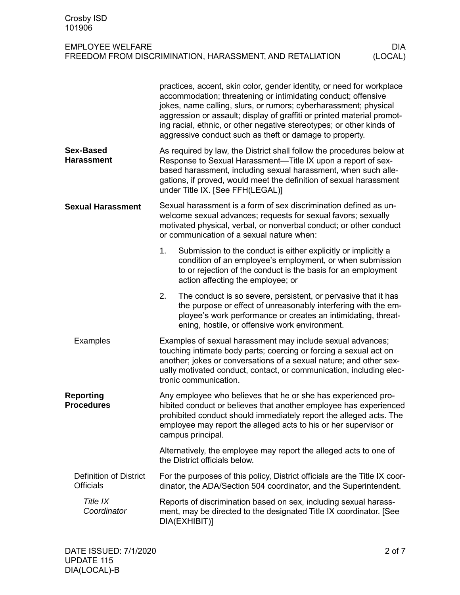| EMPLOYEE WELFARE                                         | DIA     |
|----------------------------------------------------------|---------|
| FREEDOM FROM DISCRIMINATION, HARASSMENT, AND RETALIATION | (LOCAL) |

|                                                   | practices, accent, skin color, gender identity, or need for workplace<br>accommodation; threatening or intimidating conduct; offensive<br>jokes, name calling, slurs, or rumors; cyberharassment; physical<br>aggression or assault; display of graffiti or printed material promot-<br>ing racial, ethnic, or other negative stereotypes; or other kinds of<br>aggressive conduct such as theft or damage to property. |  |
|---------------------------------------------------|-------------------------------------------------------------------------------------------------------------------------------------------------------------------------------------------------------------------------------------------------------------------------------------------------------------------------------------------------------------------------------------------------------------------------|--|
| <b>Sex-Based</b><br><b>Harassment</b>             | As required by law, the District shall follow the procedures below at<br>Response to Sexual Harassment—Title IX upon a report of sex-<br>based harassment, including sexual harassment, when such alle-<br>gations, if proved, would meet the definition of sexual harassment<br>under Title IX. [See FFH(LEGAL)]                                                                                                       |  |
| <b>Sexual Harassment</b>                          | Sexual harassment is a form of sex discrimination defined as un-<br>welcome sexual advances; requests for sexual favors; sexually<br>motivated physical, verbal, or nonverbal conduct; or other conduct<br>or communication of a sexual nature when:                                                                                                                                                                    |  |
|                                                   | 1.<br>Submission to the conduct is either explicitly or implicitly a<br>condition of an employee's employment, or when submission<br>to or rejection of the conduct is the basis for an employment<br>action affecting the employee; or                                                                                                                                                                                 |  |
|                                                   | 2.<br>The conduct is so severe, persistent, or pervasive that it has<br>the purpose or effect of unreasonably interfering with the em-<br>ployee's work performance or creates an intimidating, threat-<br>ening, hostile, or offensive work environment.                                                                                                                                                               |  |
| Examples                                          | Examples of sexual harassment may include sexual advances;<br>touching intimate body parts; coercing or forcing a sexual act on<br>another; jokes or conversations of a sexual nature; and other sex-<br>ually motivated conduct, contact, or communication, including elec-<br>tronic communication.                                                                                                                   |  |
| <b>Reporting</b><br><b>Procedures</b>             | Any employee who believes that he or she has experienced pro-<br>hibited conduct or believes that another employee has experienced<br>prohibited conduct should immediately report the alleged acts. The<br>employee may report the alleged acts to his or her supervisor or<br>campus principal.                                                                                                                       |  |
|                                                   | Alternatively, the employee may report the alleged acts to one of<br>the District officials below.                                                                                                                                                                                                                                                                                                                      |  |
| <b>Definition of District</b><br><b>Officials</b> | For the purposes of this policy, District officials are the Title IX coor-<br>dinator, the ADA/Section 504 coordinator, and the Superintendent.                                                                                                                                                                                                                                                                         |  |
| Title IX<br>Coordinator                           | Reports of discrimination based on sex, including sexual harass-<br>ment, may be directed to the designated Title IX coordinator. [See<br>DIA(EXHIBIT)]                                                                                                                                                                                                                                                                 |  |

(LOCAL)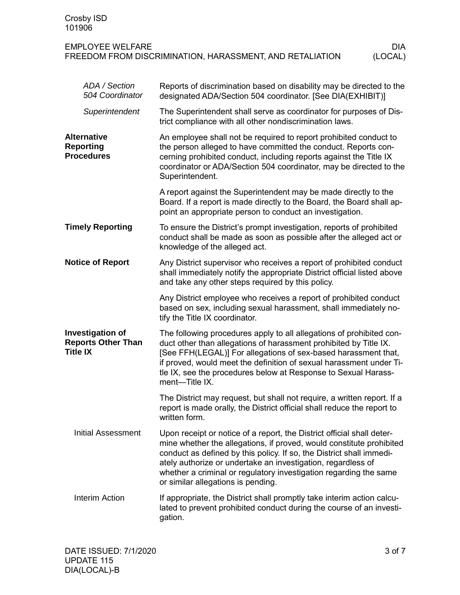| Crosby ISD<br>101906                                                                                         |                                                                                                                                                                                                                                                                                                    |  |  |
|--------------------------------------------------------------------------------------------------------------|----------------------------------------------------------------------------------------------------------------------------------------------------------------------------------------------------------------------------------------------------------------------------------------------------|--|--|
| <b>EMPLOYEE WELFARE</b><br><b>DIA</b><br>FREEDOM FROM DISCRIMINATION, HARASSMENT, AND RETALIATION<br>(LOCAL) |                                                                                                                                                                                                                                                                                                    |  |  |
| ADA / Section<br>504 Coordinator                                                                             | Reports of discrimination based on disability may be directed to the<br>designated ADA/Section 504 coordinator. [See DIA(EXHIBIT)]                                                                                                                                                                 |  |  |
| Superintendent                                                                                               | The Superintendent shall serve as coordinator for purposes of Dis-<br>trict compliance with all other nondiscrimination laws.                                                                                                                                                                      |  |  |
| <b>Alternative</b><br><b>Reporting</b><br><b>Procedures</b>                                                  | An employee shall not be required to report prohibited conduct to<br>the person alleged to have committed the conduct. Reports con-<br>cerning prohibited conduct, including reports against the Title IX<br>coordinator or ADA/Section 504 coordinator, may be directed to the<br>Superintendent. |  |  |
|                                                                                                              | A report against the Superintendent may be made directly to the                                                                                                                                                                                                                                    |  |  |

Board. If a report is made directly to the Board, the Board shall ap-

To ensure the District's prompt investigation, reports of prohibited conduct shall be made as soon as possible after the alleged act or

Any District supervisor who receives a report of prohibited conduct shall immediately notify the appropriate District official listed above

Any District employee who receives a report of prohibited conduct based on sex, including sexual harassment, shall immediately no-

The following procedures apply to all allegations of prohibited conduct other than allegations of harassment prohibited by Title IX. [See FFH(LEGAL)] For allegations of sex-based harassment that, if proved, would meet the definition of sexual harassment under Title IX, see the procedures below at Response to Sexual Harass-

The District may request, but shall not require, a written report. If a report is made orally, the District official shall reduce the report to

Upon receipt or notice of a report, the District official shall determine whether the allegations, if proved, would constitute prohibited conduct as defined by this policy. If so, the District shall immediately authorize or undertake an investigation, regardless of whether a criminal or regulatory investigation regarding the same

point an appropriate person to conduct an investigation.

and take any other steps required by this policy.

knowledge of the alleged act.

tify the Title IX coordinator.

ment—Title IX.

written form.

If appropriate, the District shall promptly take interim action calculated to prevent prohibited conduct during the course of an investigation. Interim Action

or similar allegations is pending.

Initial Assessment

**Timely Reporting**

**Notice of Report**

**Investigation of Reports Other Than** 

**Title IX**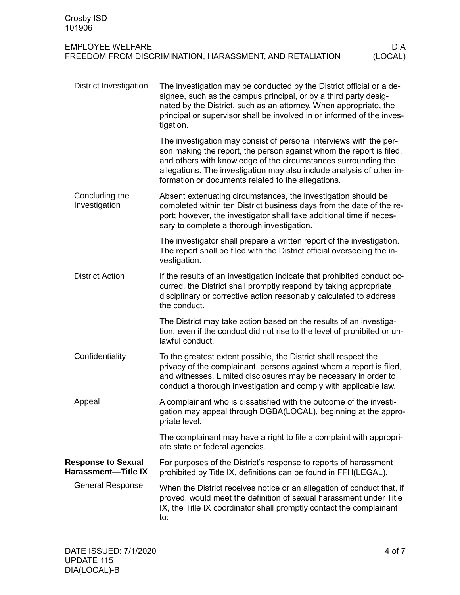| Crosby ISD<br>101906                                    |                                                                                                                                                                                                                                                                                                                                            |
|---------------------------------------------------------|--------------------------------------------------------------------------------------------------------------------------------------------------------------------------------------------------------------------------------------------------------------------------------------------------------------------------------------------|
| <b>EMPLOYEE WELFARE</b>                                 | <b>DIA</b><br>(LOCAL)<br>FREEDOM FROM DISCRIMINATION, HARASSMENT, AND RETALIATION                                                                                                                                                                                                                                                          |
| <b>District Investigation</b>                           | The investigation may be conducted by the District official or a de-<br>signee, such as the campus principal, or by a third party desig-<br>nated by the District, such as an attorney. When appropriate, the<br>principal or supervisor shall be involved in or informed of the inves-<br>tigation.                                       |
|                                                         | The investigation may consist of personal interviews with the per-<br>son making the report, the person against whom the report is filed,<br>and others with knowledge of the circumstances surrounding the<br>allegations. The investigation may also include analysis of other in-<br>formation or documents related to the allegations. |
| Concluding the<br>Investigation                         | Absent extenuating circumstances, the investigation should be<br>completed within ten District business days from the date of the re-<br>port; however, the investigator shall take additional time if neces-<br>sary to complete a thorough investigation.                                                                                |
|                                                         | The investigator shall prepare a written report of the investigation.<br>The report shall be filed with the District official overseeing the in-<br>vestigation.                                                                                                                                                                           |
| <b>District Action</b>                                  | If the results of an investigation indicate that prohibited conduct oc-<br>curred, the District shall promptly respond by taking appropriate<br>disciplinary or corrective action reasonably calculated to address<br>the conduct.                                                                                                         |
|                                                         | The District may take action based on the results of an investiga-<br>tion, even if the conduct did not rise to the level of prohibited or un-<br>lawful conduct.                                                                                                                                                                          |
| Confidentiality                                         | To the greatest extent possible, the District shall respect the<br>privacy of the complainant, persons against whom a report is filed,<br>and witnesses. Limited disclosures may be necessary in order to<br>conduct a thorough investigation and comply with applicable law.                                                              |
| Appeal                                                  | A complainant who is dissatisfied with the outcome of the investi-<br>gation may appeal through DGBA(LOCAL), beginning at the appro-<br>priate level.                                                                                                                                                                                      |
|                                                         | The complainant may have a right to file a complaint with appropri-<br>ate state or federal agencies.                                                                                                                                                                                                                                      |
| <b>Response to Sexual</b><br><b>Harassment-Title IX</b> | For purposes of the District's response to reports of harassment<br>prohibited by Title IX, definitions can be found in FFH(LEGAL).                                                                                                                                                                                                        |
| <b>General Response</b>                                 | When the District receives notice or an allegation of conduct that, if<br>proved, would meet the definition of sexual harassment under Title<br>IX, the Title IX coordinator shall promptly contact the complainant<br>to:                                                                                                                 |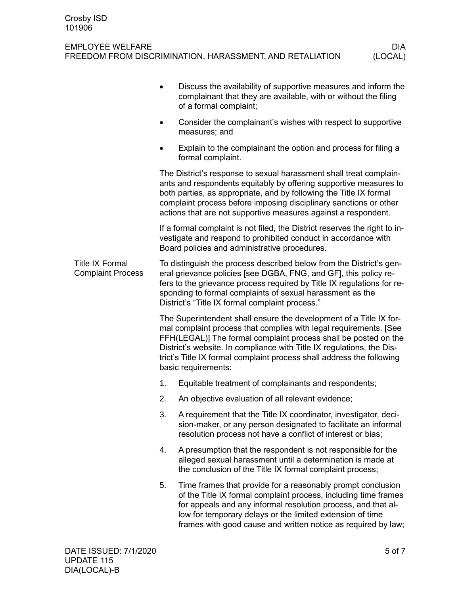|                                                    |    | Discuss the availability of supportive measures and inform the<br>complainant that they are available, with or without the filing<br>of a formal complaint;                                                                                                                                                                                                                         |
|----------------------------------------------------|----|-------------------------------------------------------------------------------------------------------------------------------------------------------------------------------------------------------------------------------------------------------------------------------------------------------------------------------------------------------------------------------------|
|                                                    |    | Consider the complainant's wishes with respect to supportive<br>measures; and                                                                                                                                                                                                                                                                                                       |
|                                                    |    | Explain to the complainant the option and process for filing a<br>formal complaint.                                                                                                                                                                                                                                                                                                 |
|                                                    |    | The District's response to sexual harassment shall treat complain-<br>ants and respondents equitably by offering supportive measures to<br>both parties, as appropriate, and by following the Title IX formal<br>complaint process before imposing disciplinary sanctions or other<br>actions that are not supportive measures against a respondent.                                |
|                                                    |    | If a formal complaint is not filed, the District reserves the right to in-<br>vestigate and respond to prohibited conduct in accordance with<br>Board policies and administrative procedures.                                                                                                                                                                                       |
| <b>Title IX Formal</b><br><b>Complaint Process</b> |    | To distinguish the process described below from the District's gen-<br>eral grievance policies [see DGBA, FNG, and GF], this policy re-<br>fers to the grievance process required by Title IX regulations for re-<br>sponding to formal complaints of sexual harassment as the<br>District's "Title IX formal complaint process."                                                   |
|                                                    |    | The Superintendent shall ensure the development of a Title IX for-<br>mal complaint process that complies with legal requirements. [See<br>FFH(LEGAL)] The formal complaint process shall be posted on the<br>District's website. In compliance with Title IX regulations, the Dis-<br>trict's Title IX formal complaint process shall address the following<br>basic requirements: |
|                                                    | 1. | Equitable treatment of complainants and respondents;                                                                                                                                                                                                                                                                                                                                |
|                                                    | 2. | An objective evaluation of all relevant evidence;                                                                                                                                                                                                                                                                                                                                   |
|                                                    | 3. | A requirement that the Title IX coordinator, investigator, deci-<br>sion-maker, or any person designated to facilitate an informal<br>resolution process not have a conflict of interest or bias;                                                                                                                                                                                   |
|                                                    | 4. | A presumption that the respondent is not responsible for the<br>alleged sexual harassment until a determination is made at<br>the conclusion of the Title IX formal complaint process;                                                                                                                                                                                              |
|                                                    | 5. | Time frames that provide for a reasonably prompt conclusion<br>of the Title IX formal complaint process, including time frames<br>for appeals and any informal resolution process, and that al-<br>low for temporary delays or the limited extension of time<br>frames with good cause and written notice as required by law;                                                       |
|                                                    |    |                                                                                                                                                                                                                                                                                                                                                                                     |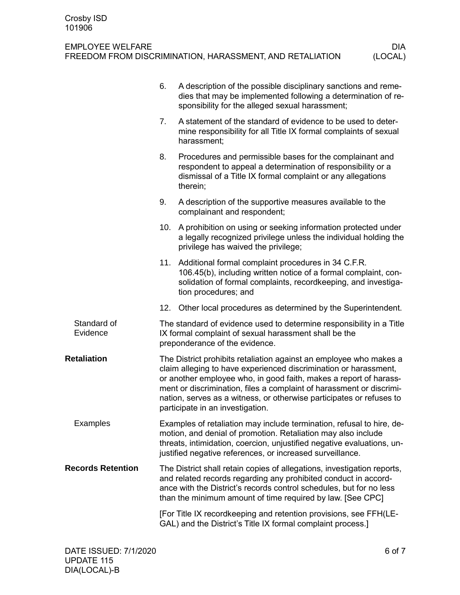|                          | 6. | A description of the possible disciplinary sanctions and reme-<br>dies that may be implemented following a determination of re-<br>sponsibility for the alleged sexual harassment;                                                                                                                                                                                                              |
|--------------------------|----|-------------------------------------------------------------------------------------------------------------------------------------------------------------------------------------------------------------------------------------------------------------------------------------------------------------------------------------------------------------------------------------------------|
|                          | 7. | A statement of the standard of evidence to be used to deter-<br>mine responsibility for all Title IX formal complaints of sexual<br>harassment;                                                                                                                                                                                                                                                 |
|                          | 8. | Procedures and permissible bases for the complainant and<br>respondent to appeal a determination of responsibility or a<br>dismissal of a Title IX formal complaint or any allegations<br>therein;                                                                                                                                                                                              |
|                          | 9. | A description of the supportive measures available to the<br>complainant and respondent;                                                                                                                                                                                                                                                                                                        |
|                          |    | 10. A prohibition on using or seeking information protected under<br>a legally recognized privilege unless the individual holding the<br>privilege has waived the privilege;                                                                                                                                                                                                                    |
|                          |    | 11. Additional formal complaint procedures in 34 C.F.R.<br>106.45(b), including written notice of a formal complaint, con-<br>solidation of formal complaints, recordkeeping, and investiga-<br>tion procedures; and                                                                                                                                                                            |
|                          |    | 12. Other local procedures as determined by the Superintendent.                                                                                                                                                                                                                                                                                                                                 |
| Standard of<br>Evidence  |    | The standard of evidence used to determine responsibility in a Title<br>IX formal complaint of sexual harassment shall be the<br>preponderance of the evidence.                                                                                                                                                                                                                                 |
| <b>Retaliation</b>       |    | The District prohibits retaliation against an employee who makes a<br>claim alleging to have experienced discrimination or harassment,<br>or another employee who, in good faith, makes a report of harass-<br>ment or discrimination, files a complaint of harassment or discrimi-<br>nation, serves as a witness, or otherwise participates or refuses to<br>participate in an investigation. |
| Examples                 |    | Examples of retaliation may include termination, refusal to hire, de-<br>motion, and denial of promotion. Retaliation may also include<br>threats, intimidation, coercion, unjustified negative evaluations, un-<br>justified negative references, or increased surveillance.                                                                                                                   |
| <b>Records Retention</b> |    | The District shall retain copies of allegations, investigation reports,<br>and related records regarding any prohibited conduct in accord-<br>ance with the District's records control schedules, but for no less<br>than the minimum amount of time required by law. [See CPC]                                                                                                                 |
|                          |    | [For Title IX recordkeeping and retention provisions, see FFH(LE-<br>GAL) and the District's Title IX formal complaint process.]                                                                                                                                                                                                                                                                |